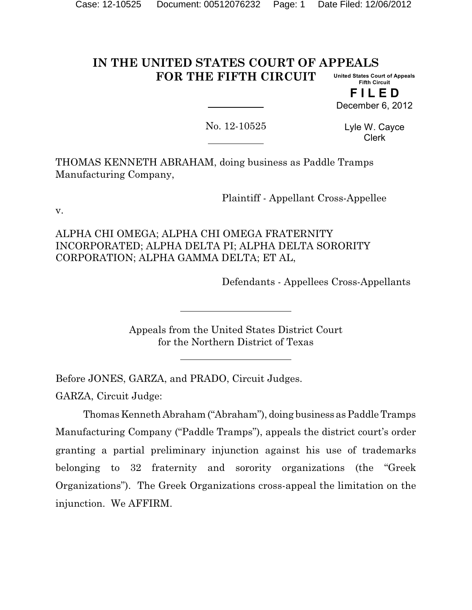#### **IN THE UNITED STATES COURT OF APPEALS FOR THE FIFTH CIRCUIT United States Court of Appeals Fifth Circuit**

**F I L E D** December 6, 2012

No. 12-10525

Lyle W. Cayce Clerk

THOMAS KENNETH ABRAHAM, doing business as Paddle Tramps Manufacturing Company,

Plaintiff - Appellant Cross-Appellee

v.

ALPHA CHI OMEGA; ALPHA CHI OMEGA FRATERNITY INCORPORATED; ALPHA DELTA PI; ALPHA DELTA SORORITY CORPORATION; ALPHA GAMMA DELTA; ET AL,

Defendants - Appellees Cross-Appellants

Appeals from the United States District Court for the Northern District of Texas

Before JONES, GARZA, and PRADO, Circuit Judges.

GARZA, Circuit Judge:

Thomas Kenneth Abraham ("Abraham"), doing business as Paddle Tramps Manufacturing Company ("Paddle Tramps"), appeals the district court's order granting a partial preliminary injunction against his use of trademarks belonging to 32 fraternity and sorority organizations (the "Greek Organizations"). The Greek Organizations cross-appeal the limitation on the injunction. We AFFIRM.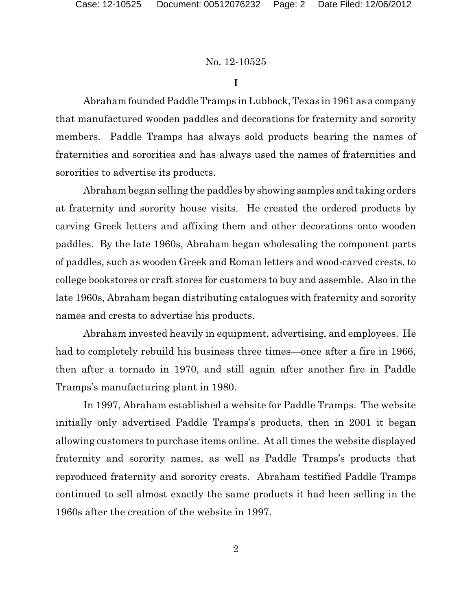### **I**

Abraham founded Paddle Tramps in Lubbock, Texas in 1961 as a company that manufactured wooden paddles and decorations for fraternity and sorority members. Paddle Tramps has always sold products bearing the names of fraternities and sororities and has always used the names of fraternities and sororities to advertise its products.

Abraham began selling the paddles by showing samples and taking orders at fraternity and sorority house visits. He created the ordered products by carving Greek letters and affixing them and other decorations onto wooden paddles. By the late 1960s, Abraham began wholesaling the component parts of paddles, such as wooden Greek and Roman letters and wood-carved crests, to college bookstores or craft stores for customers to buy and assemble. Also in the late 1960s, Abraham began distributing catalogues with fraternity and sorority names and crests to advertise his products.

Abraham invested heavily in equipment, advertising, and employees. He had to completely rebuild his business three times—once after a fire in 1966, then after a tornado in 1970, and still again after another fire in Paddle Tramps's manufacturing plant in 1980.

In 1997, Abraham established a website for Paddle Tramps. The website initially only advertised Paddle Tramps's products, then in 2001 it began allowing customers to purchase items online. At all times the website displayed fraternity and sorority names, as well as Paddle Tramps's products that reproduced fraternity and sorority crests. Abraham testified Paddle Tramps continued to sell almost exactly the same products it had been selling in the 1960s after the creation of the website in 1997.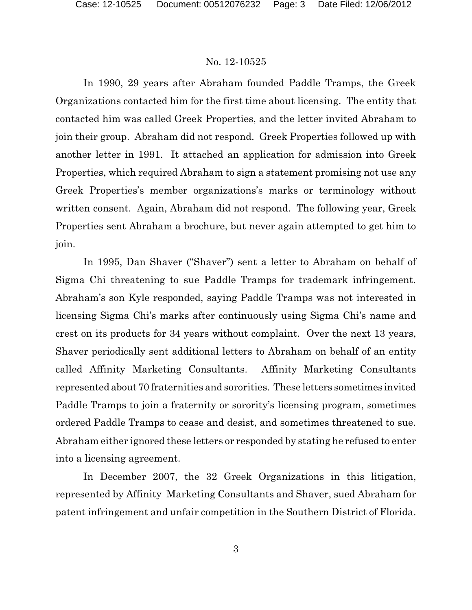In 1990, 29 years after Abraham founded Paddle Tramps, the Greek Organizations contacted him for the first time about licensing. The entity that contacted him was called Greek Properties, and the letter invited Abraham to join their group. Abraham did not respond. Greek Properties followed up with another letter in 1991. It attached an application for admission into Greek Properties, which required Abraham to sign a statement promising not use any Greek Properties's member organizations's marks or terminology without written consent. Again, Abraham did not respond. The following year, Greek Properties sent Abraham a brochure, but never again attempted to get him to join.

In 1995, Dan Shaver ("Shaver") sent a letter to Abraham on behalf of Sigma Chi threatening to sue Paddle Tramps for trademark infringement. Abraham's son Kyle responded, saying Paddle Tramps was not interested in licensing Sigma Chi's marks after continuously using Sigma Chi's name and crest on its products for 34 years without complaint. Over the next 13 years, Shaver periodically sent additional letters to Abraham on behalf of an entity called Affinity Marketing Consultants. Affinity Marketing Consultants represented about 70 fraternities and sororities. These letters sometimes invited Paddle Tramps to join a fraternity or sorority's licensing program, sometimes ordered Paddle Tramps to cease and desist, and sometimes threatened to sue. Abraham either ignored these letters or responded by stating he refused to enter into a licensing agreement.

In December 2007, the 32 Greek Organizations in this litigation, represented by Affinity Marketing Consultants and Shaver, sued Abraham for patent infringement and unfair competition in the Southern District of Florida.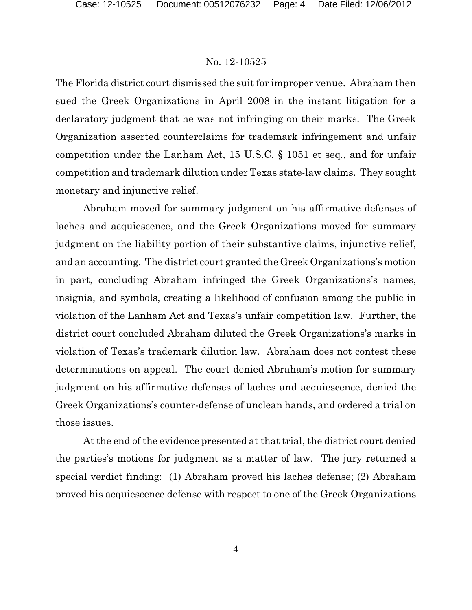The Florida district court dismissed the suit for improper venue. Abraham then sued the Greek Organizations in April 2008 in the instant litigation for a declaratory judgment that he was not infringing on their marks. The Greek Organization asserted counterclaims for trademark infringement and unfair competition under the Lanham Act, 15 U.S.C. § 1051 et seq., and for unfair competition and trademark dilution under Texas state-law claims. They sought monetary and injunctive relief.

Abraham moved for summary judgment on his affirmative defenses of laches and acquiescence, and the Greek Organizations moved for summary judgment on the liability portion of their substantive claims, injunctive relief, and an accounting. The district court granted the Greek Organizations's motion in part, concluding Abraham infringed the Greek Organizations's names, insignia, and symbols, creating a likelihood of confusion among the public in violation of the Lanham Act and Texas's unfair competition law. Further, the district court concluded Abraham diluted the Greek Organizations's marks in violation of Texas's trademark dilution law. Abraham does not contest these determinations on appeal. The court denied Abraham's motion for summary judgment on his affirmative defenses of laches and acquiescence, denied the Greek Organizations's counter-defense of unclean hands, and ordered a trial on those issues.

At the end of the evidence presented at that trial, the district court denied the parties's motions for judgment as a matter of law. The jury returned a special verdict finding: (1) Abraham proved his laches defense; (2) Abraham proved his acquiescence defense with respect to one of the Greek Organizations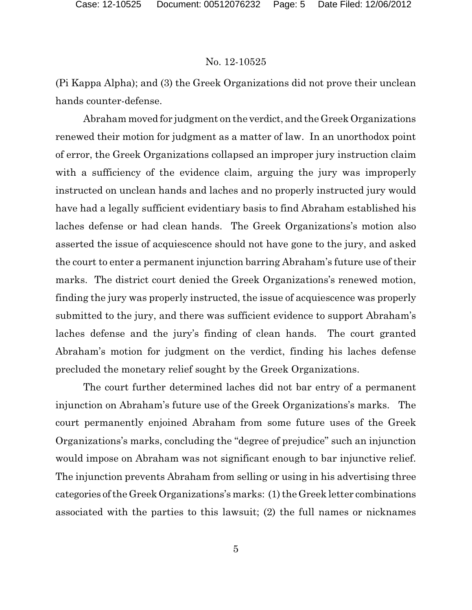(Pi Kappa Alpha); and (3) the Greek Organizations did not prove their unclean hands counter-defense.

Abraham moved for judgment on the verdict, and the Greek Organizations renewed their motion for judgment as a matter of law. In an unorthodox point of error, the Greek Organizations collapsed an improper jury instruction claim with a sufficiency of the evidence claim, arguing the jury was improperly instructed on unclean hands and laches and no properly instructed jury would have had a legally sufficient evidentiary basis to find Abraham established his laches defense or had clean hands. The Greek Organizations's motion also asserted the issue of acquiescence should not have gone to the jury, and asked the court to enter a permanent injunction barring Abraham's future use of their marks. The district court denied the Greek Organizations's renewed motion, finding the jury was properly instructed, the issue of acquiescence was properly submitted to the jury, and there was sufficient evidence to support Abraham's laches defense and the jury's finding of clean hands. The court granted Abraham's motion for judgment on the verdict, finding his laches defense precluded the monetary relief sought by the Greek Organizations.

The court further determined laches did not bar entry of a permanent injunction on Abraham's future use of the Greek Organizations's marks. The court permanently enjoined Abraham from some future uses of the Greek Organizations's marks, concluding the "degree of prejudice" such an injunction would impose on Abraham was not significant enough to bar injunctive relief. The injunction prevents Abraham from selling or using in his advertising three categories ofthe Greek Organizations's marks: (1) the Greek letter combinations associated with the parties to this lawsuit; (2) the full names or nicknames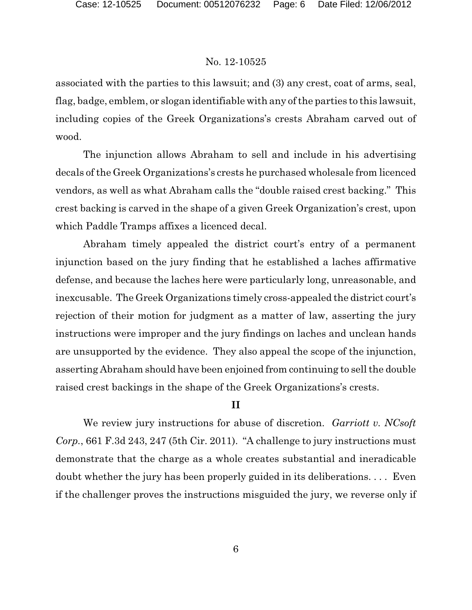associated with the parties to this lawsuit; and (3) any crest, coat of arms, seal, flag, badge, emblem, or slogan identifiable with any of the parties to this lawsuit, including copies of the Greek Organizations's crests Abraham carved out of wood.

The injunction allows Abraham to sell and include in his advertising decals of the Greek Organizations's crests he purchased wholesale from licenced vendors, as well as what Abraham calls the "double raised crest backing." This crest backing is carved in the shape of a given Greek Organization's crest, upon which Paddle Tramps affixes a licenced decal.

Abraham timely appealed the district court's entry of a permanent injunction based on the jury finding that he established a laches affirmative defense, and because the laches here were particularly long, unreasonable, and inexcusable. The Greek Organizations timely cross-appealed the district court's rejection of their motion for judgment as a matter of law, asserting the jury instructions were improper and the jury findings on laches and unclean hands are unsupported by the evidence. They also appeal the scope of the injunction, asserting Abraham should have been enjoined from continuing to sell the double raised crest backings in the shape of the Greek Organizations's crests.

# **II**

We review jury instructions for abuse of discretion. *Garriott v. NCsoft Corp.*, 661 F.3d 243, 247 (5th Cir. 2011). "A challenge to jury instructions must demonstrate that the charge as a whole creates substantial and ineradicable doubt whether the jury has been properly guided in its deliberations. . . . Even if the challenger proves the instructions misguided the jury, we reverse only if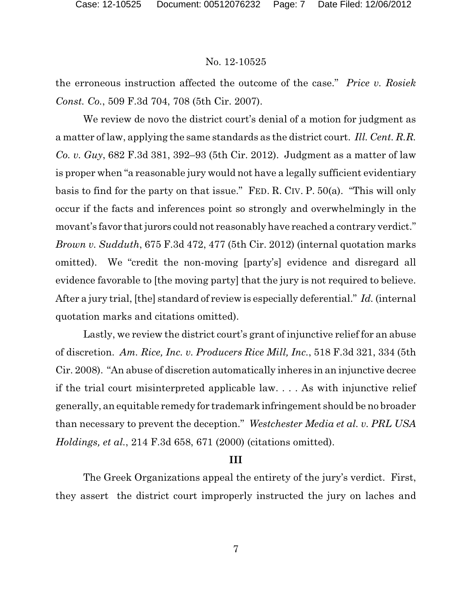the erroneous instruction affected the outcome of the case." *Price v. Rosiek Const. Co.*, 509 F.3d 704, 708 (5th Cir. 2007).

We review de novo the district court's denial of a motion for judgment as a matter of law, applying the same standards as the district court. *Ill. Cent. R.R. Co. v. Guy*, 682 F.3d 381, 392–93 (5th Cir. 2012). Judgment as a matter of law is proper when "a reasonable jury would not have a legally sufficient evidentiary basis to find for the party on that issue." FED. R. CIV. P. 50(a). "This will only occur if the facts and inferences point so strongly and overwhelmingly in the movant's favor that jurors could not reasonably have reached a contrary verdict." *Brown v. Sudduth*, 675 F.3d 472, 477 (5th Cir. 2012) (internal quotation marks omitted). We "credit the non-moving [party's] evidence and disregard all evidence favorable to [the moving party] that the jury is not required to believe. After a jury trial, [the] standard of review is especially deferential." *Id.* (internal quotation marks and citations omitted).

Lastly, we review the district court's grant of injunctive relief for an abuse of discretion. *Am. Rice, Inc. v. Producers Rice Mill, Inc.*, 518 F.3d 321, 334 (5th Cir. 2008). "An abuse of discretion automatically inheres in an injunctive decree if the trial court misinterpreted applicable law. . . . As with injunctive relief generally, an equitable remedy for trademark infringement should be no broader than necessary to prevent the deception." *Westchester Media et al. v. PRL USA Holdings, et al.*, 214 F.3d 658, 671 (2000) (citations omitted).

### **III**

The Greek Organizations appeal the entirety of the jury's verdict. First, they assert the district court improperly instructed the jury on laches and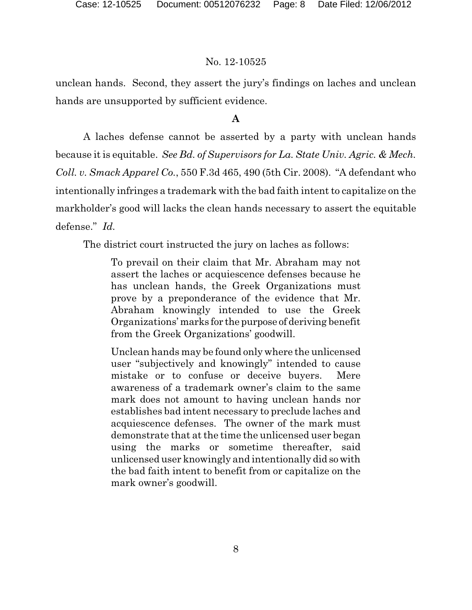unclean hands. Second, they assert the jury's findings on laches and unclean hands are unsupported by sufficient evidence.

# **A**

A laches defense cannot be asserted by a party with unclean hands because it is equitable. *See Bd. of Supervisors for La. State Univ. Agric. & Mech. Coll. v. Smack Apparel Co.*, 550 F.3d 465, 490 (5th Cir. 2008). "A defendant who intentionally infringes a trademark with the bad faith intent to capitalize on the markholder's good will lacks the clean hands necessary to assert the equitable defense." *Id.*

The district court instructed the jury on laches as follows:

To prevail on their claim that Mr. Abraham may not assert the laches or acquiescence defenses because he has unclean hands, the Greek Organizations must prove by a preponderance of the evidence that Mr. Abraham knowingly intended to use the Greek Organizations' marks for the purpose of deriving benefit from the Greek Organizations' goodwill.

Unclean hands may be found only where the unlicensed user "subjectively and knowingly" intended to cause mistake or to confuse or deceive buyers. Mere awareness of a trademark owner's claim to the same mark does not amount to having unclean hands nor establishes bad intent necessary to preclude laches and acquiescence defenses. The owner of the mark must demonstrate that at the time the unlicensed user began using the marks or sometime thereafter, said unlicensed user knowingly and intentionally did sowith the bad faith intent to benefit from or capitalize on the mark owner's goodwill.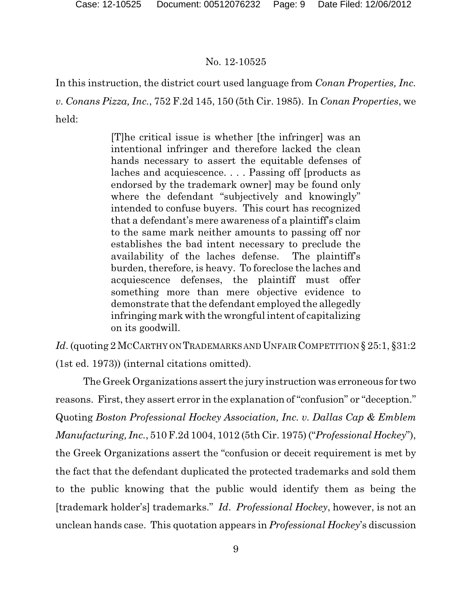In this instruction, the district court used language from *Conan Properties, Inc. v. Conans Pizza, Inc.*, 752 F.2d 145, 150 (5th Cir. 1985). In *Conan Properties*, we held:

> [T]he critical issue is whether [the infringer] was an intentional infringer and therefore lacked the clean hands necessary to assert the equitable defenses of laches and acquiescence. . . . Passing off [products as endorsed by the trademark owner] may be found only where the defendant "subjectively and knowingly" intended to confuse buyers. This court has recognized that a defendant's mere awareness of a plaintiff's claim to the same mark neither amounts to passing off nor establishes the bad intent necessary to preclude the availability of the laches defense. The plaintiff's burden, therefore, is heavy. To foreclose the laches and acquiescence defenses, the plaintiff must offer something more than mere objective evidence to demonstrate that the defendant employed the allegedly infringing mark with the wrongful intent of capitalizing on its goodwill.

*Id.* (quoting 2 McCarthy on Trademarks and Unfair Competition § 25:1, §31:2 (1st ed. 1973)) (internal citations omitted).

The Greek Organizations assert the jury instruction was erroneous for two reasons. First, they assert error in the explanation of "confusion" or "deception." Quoting *Boston Professional Hockey Association, Inc. v. Dallas Cap & Emblem Manufacturing, Inc.*, 510 F.2d 1004, 1012 (5th Cir. 1975) ("*Professional Hockey*"), the Greek Organizations assert the "confusion or deceit requirement is met by the fact that the defendant duplicated the protected trademarks and sold them to the public knowing that the public would identify them as being the [trademark holder's] trademarks." *Id*. *Professional Hockey*, however, is not an unclean hands case. This quotation appears in *Professional Hockey*'s discussion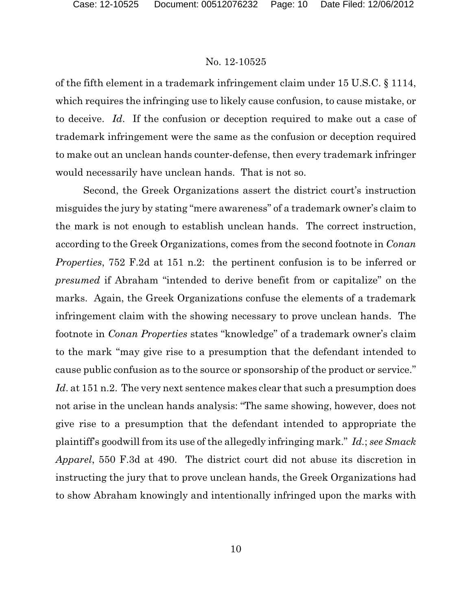of the fifth element in a trademark infringement claim under 15 U.S.C. § 1114, which requires the infringing use to likely cause confusion, to cause mistake, or to deceive. *Id*. If the confusion or deception required to make out a case of trademark infringement were the same as the confusion or deception required to make out an unclean hands counter-defense, then every trademark infringer would necessarily have unclean hands. That is not so.

Second, the Greek Organizations assert the district court's instruction misguides the jury by stating "mere awareness" of a trademark owner's claim to the mark is not enough to establish unclean hands. The correct instruction, according to the Greek Organizations, comes from the second footnote in *Conan Properties*, 752 F.2d at 151 n.2: the pertinent confusion is to be inferred or *presumed* if Abraham "intended to derive benefit from or capitalize" on the marks. Again, the Greek Organizations confuse the elements of a trademark infringement claim with the showing necessary to prove unclean hands. The footnote in *Conan Properties* states "knowledge" of a trademark owner's claim to the mark "may give rise to a presumption that the defendant intended to cause public confusion as to the source or sponsorship of the product or service." *Id*. at 151 n.2. The very next sentence makes clear that such a presumption does not arise in the unclean hands analysis: "The same showing, however, does not give rise to a presumption that the defendant intended to appropriate the plaintiff's goodwill from its use of the allegedly infringing mark." *Id.*; *see Smack Apparel*, 550 F.3d at 490. The district court did not abuse its discretion in instructing the jury that to prove unclean hands, the Greek Organizations had to show Abraham knowingly and intentionally infringed upon the marks with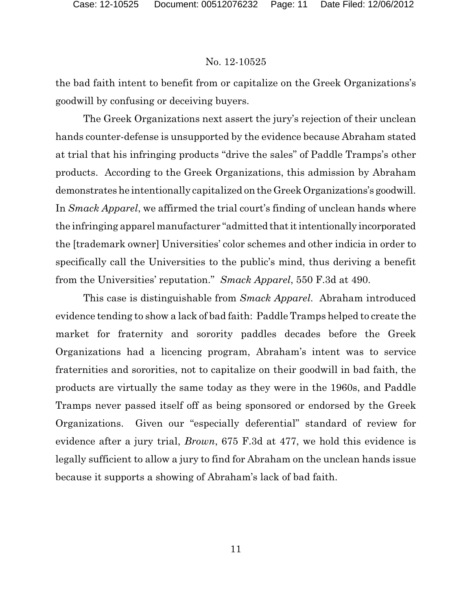the bad faith intent to benefit from or capitalize on the Greek Organizations's goodwill by confusing or deceiving buyers.

The Greek Organizations next assert the jury's rejection of their unclean hands counter-defense is unsupported by the evidence because Abraham stated at trial that his infringing products "drive the sales" of Paddle Tramps's other products. According to the Greek Organizations, this admission by Abraham demonstrates he intentionally capitalized on the Greek Organizations's goodwill. In *Smack Apparel*, we affirmed the trial court's finding of unclean hands where the infringing apparel manufacturer "admitted thatitintentionally incorporated the [trademark owner] Universities' color schemes and other indicia in order to specifically call the Universities to the public's mind, thus deriving a benefit from the Universities' reputation." *Smack Apparel*, 550 F.3d at 490.

This case is distinguishable from *Smack Apparel*. Abraham introduced evidence tending to show a lack of bad faith: Paddle Tramps helped to create the market for fraternity and sorority paddles decades before the Greek Organizations had a licencing program, Abraham's intent was to service fraternities and sororities, not to capitalize on their goodwill in bad faith, the products are virtually the same today as they were in the 1960s, and Paddle Tramps never passed itself off as being sponsored or endorsed by the Greek Organizations. Given our "especially deferential" standard of review for evidence after a jury trial, *Brown*, 675 F.3d at 477, we hold this evidence is legally sufficient to allow a jury to find for Abraham on the unclean hands issue because it supports a showing of Abraham's lack of bad faith.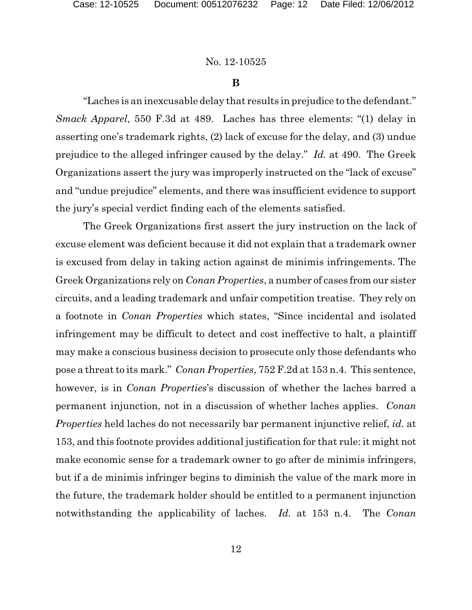#### **B**

"Laches is an inexcusable delay that results in prejudice to the defendant." *Smack Apparel*, 550 F.3d at 489. Laches has three elements: "(1) delay in asserting one's trademark rights, (2) lack of excuse for the delay, and (3) undue prejudice to the alleged infringer caused by the delay." *Id.* at 490. The Greek Organizations assert the jury was improperly instructed on the "lack of excuse" and "undue prejudice" elements, and there was insufficient evidence to support the jury's special verdict finding each of the elements satisfied.

The Greek Organizations first assert the jury instruction on the lack of excuse element was deficient because it did not explain that a trademark owner is excused from delay in taking action against de minimis infringements. The Greek Organizations rely on *Conan Properties*, a number of cases from our sister circuits, and a leading trademark and unfair competition treatise. They rely on a footnote in *Conan Properties* which states, "Since incidental and isolated infringement may be difficult to detect and cost ineffective to halt, a plaintiff may make a conscious business decision to prosecute only those defendants who pose a threat to its mark." *Conan Properties*, 752 F.2d at 153 n.4. This sentence, however, is in *Conan Properties*'s discussion of whether the laches barred a permanent injunction, not in a discussion of whether laches applies. *Conan Properties* held laches do not necessarily bar permanent injunctive relief, *id.* at 153, and this footnote provides additional justification for that rule: it might not make economic sense for a trademark owner to go after de minimis infringers, but if a de minimis infringer begins to diminish the value of the mark more in the future, the trademark holder should be entitled to a permanent injunction notwithstanding the applicability of laches. *Id.* at 153 n.4. The *Conan*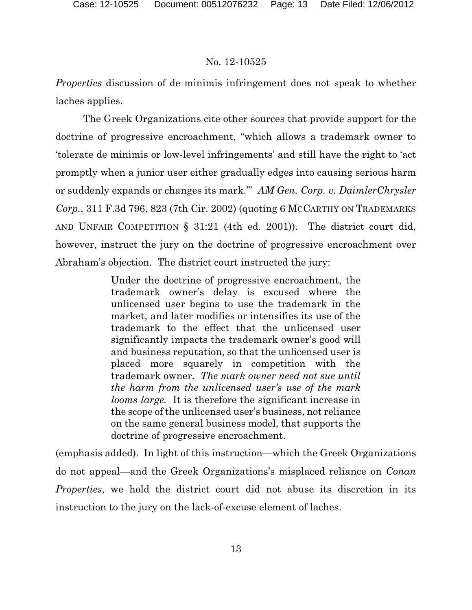*Properties* discussion of de minimis infringement does not speak to whether laches applies.

The Greek Organizations cite other sources that provide support for the doctrine of progressive encroachment, "which allows a trademark owner to 'tolerate de minimis or low-level infringements' and still have the right to 'act promptly when a junior user either gradually edges into causing serious harm or suddenly expands or changes its mark.'" *AM Gen. Corp. v. DaimlerChrysler Corp.*, 311 F.3d 796, 823 (7th Cir. 2002) (quoting 6 MCCARTHY ON TRADEMARKS AND UNFAIR COMPETITION § 31:21 (4th ed. 2001)). The district court did, however, instruct the jury on the doctrine of progressive encroachment over Abraham's objection. The district court instructed the jury:

> Under the doctrine of progressive encroachment, the trademark owner's delay is excused where the unlicensed user begins to use the trademark in the market, and later modifies or intensifies its use of the trademark to the effect that the unlicensed user significantly impacts the trademark owner's good will and business reputation, so that the unlicensed user is placed more squarely in competition with the trademark owner. *The mark owner need not sue until the harm from the unlicensed user's use of the mark looms large.* It is therefore the significant increase in the scope of the unlicensed user's business, not reliance on the same general business model, that supports the doctrine of progressive encroachment.

(emphasis added). In light of this instruction—which the Greek Organizations do not appeal—and the Greek Organizations's misplaced reliance on *Conan Properties*, we hold the district court did not abuse its discretion in its instruction to the jury on the lack-of-excuse element of laches.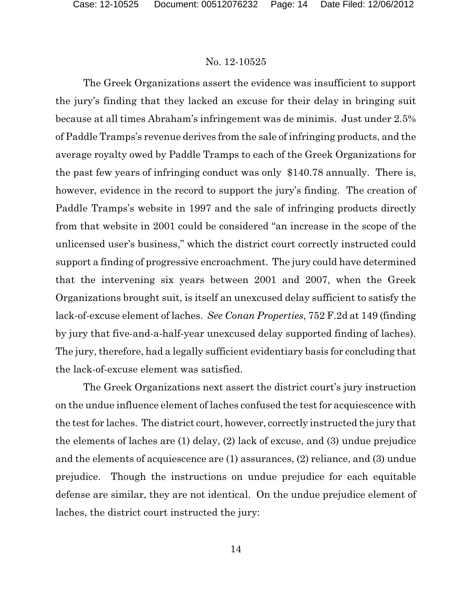The Greek Organizations assert the evidence was insufficient to support the jury's finding that they lacked an excuse for their delay in bringing suit because at all times Abraham's infringement was de minimis. Just under 2.5% of Paddle Tramps's revenue derives from the sale of infringing products, and the average royalty owed by Paddle Tramps to each of the Greek Organizations for the past few years of infringing conduct was only \$140.78 annually. There is, however, evidence in the record to support the jury's finding. The creation of Paddle Tramps's website in 1997 and the sale of infringing products directly from that website in 2001 could be considered "an increase in the scope of the unlicensed user's business," which the district court correctly instructed could support a finding of progressive encroachment. The jury could have determined that the intervening six years between 2001 and 2007, when the Greek Organizations brought suit, is itself an unexcused delay sufficient to satisfy the lack-of-excuse element of laches. *See Conan Properties*, 752 F.2d at 149 (finding by jury that five-and-a-half-year unexcused delay supported finding of laches). The jury, therefore, had a legally sufficient evidentiary basis for concluding that the lack-of-excuse element was satisfied.

The Greek Organizations next assert the district court's jury instruction on the undue influence element of laches confused the test for acquiescence with the test for laches. The district court, however, correctly instructed the jury that the elements of laches are (1) delay, (2) lack of excuse, and (3) undue prejudice and the elements of acquiescence are (1) assurances, (2) reliance, and (3) undue prejudice. Though the instructions on undue prejudice for each equitable defense are similar, they are not identical. On the undue prejudice element of laches, the district court instructed the jury: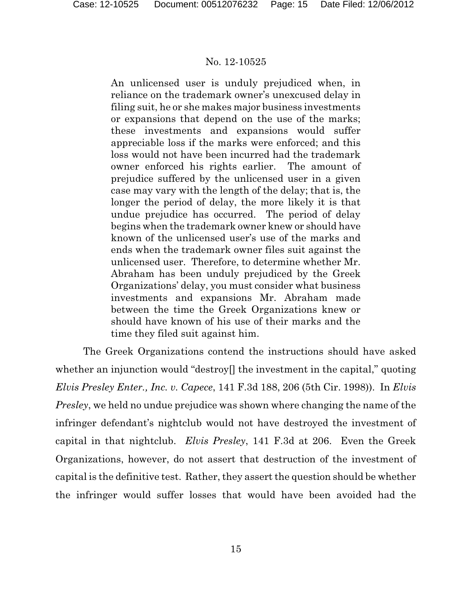An unlicensed user is unduly prejudiced when, in reliance on the trademark owner's unexcused delay in filing suit, he or she makes major business investments or expansions that depend on the use of the marks; these investments and expansions would suffer appreciable loss if the marks were enforced; and this loss would not have been incurred had the trademark owner enforced his rights earlier. The amount of prejudice suffered by the unlicensed user in a given case may vary with the length of the delay; that is, the longer the period of delay, the more likely it is that undue prejudice has occurred. The period of delay begins when the trademark owner knew or should have known of the unlicensed user's use of the marks and ends when the trademark owner files suit against the unlicensed user. Therefore, to determine whether Mr. Abraham has been unduly prejudiced by the Greek Organizations' delay, you must consider what business investments and expansions Mr. Abraham made between the time the Greek Organizations knew or should have known of his use of their marks and the time they filed suit against him.

The Greek Organizations contend the instructions should have asked whether an injunction would "destroy" the investment in the capital," quoting *Elvis Presley Enter., Inc. v. Capece*, 141 F.3d 188, 206 (5th Cir. 1998)). In *Elvis Presley*, we held no undue prejudice was shown where changing the name of the infringer defendant's nightclub would not have destroyed the investment of capital in that nightclub. *Elvis Presley*, 141 F.3d at 206. Even the Greek Organizations, however, do not assert that destruction of the investment of capital is the definitive test. Rather, they assert the question should be whether the infringer would suffer losses that would have been avoided had the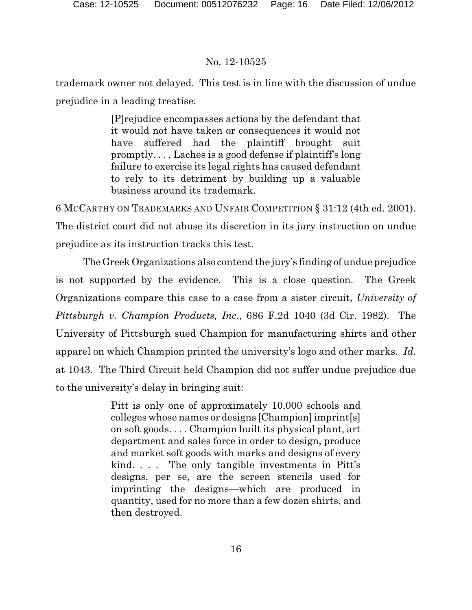trademark owner not delayed. This test is in line with the discussion of undue prejudice in a leading treatise:

> [P]rejudice encompasses actions by the defendant that it would not have taken or consequences it would not have suffered had the plaintiff brought suit promptly. . . . Laches is a good defense if plaintiff's long failure to exercise its legal rights has caused defendant to rely to its detriment by building up a valuable business around its trademark.

6 MCCARTHY ON TRADEMARKS AND UNFAIR COMPETITION § 31:12 (4th ed. 2001). The district court did not abuse its discretion in its jury instruction on undue prejudice as its instruction tracks this test.

The Greek Organizations also contend the jury's finding of undue prejudice is not supported by the evidence. This is a close question. The Greek Organizations compare this case to a case from a sister circuit, *University of Pittsburgh v. Champion Products, Inc.*, 686 F.2d 1040 (3d Cir. 1982). The University of Pittsburgh sued Champion for manufacturing shirts and other apparel on which Champion printed the university's logo and other marks. *Id.* at 1043. The Third Circuit held Champion did not suffer undue prejudice due to the university's delay in bringing suit:

> Pitt is only one of approximately 10,000 schools and colleges whose names or designs [Champion] imprint[s] on soft goods. . . . Champion built its physical plant, art department and sales force in order to design, produce and market soft goods with marks and designs of every kind. . . . The only tangible investments in Pitt's designs, per se, are the screen stencils used for imprinting the designs—which are produced in quantity, used for no more than a few dozen shirts, and then destroyed.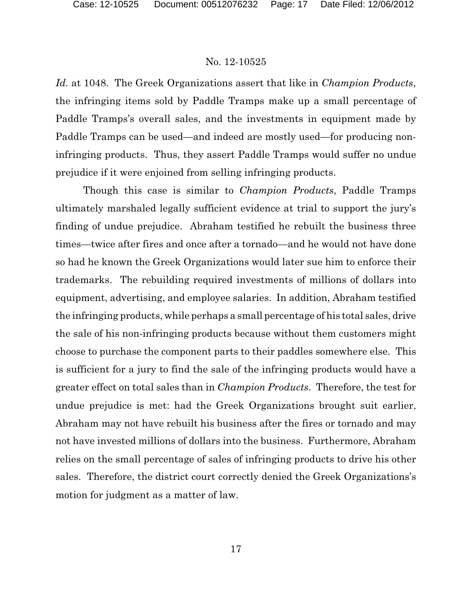*Id.* at 1048. The Greek Organizations assert that like in *Champion Products*, the infringing items sold by Paddle Tramps make up a small percentage of Paddle Tramps's overall sales, and the investments in equipment made by Paddle Tramps can be used—and indeed are mostly used—for producing noninfringing products. Thus, they assert Paddle Tramps would suffer no undue prejudice if it were enjoined from selling infringing products.

Though this case is similar to *Champion Products*, Paddle Tramps ultimately marshaled legally sufficient evidence at trial to support the jury's finding of undue prejudice. Abraham testified he rebuilt the business three times—twice after fires and once after a tornado—and he would not have done so had he known the Greek Organizations would later sue him to enforce their trademarks. The rebuilding required investments of millions of dollars into equipment, advertising, and employee salaries. In addition, Abraham testified the infringing products, while perhaps a small percentage of his total sales, drive the sale of his non-infringing products because without them customers might choose to purchase the component parts to their paddles somewhere else. This is sufficient for a jury to find the sale of the infringing products would have a greater effect on total sales than in *Champion Products*. Therefore, the test for undue prejudice is met: had the Greek Organizations brought suit earlier, Abraham may not have rebuilt his business after the fires or tornado and may not have invested millions of dollars into the business. Furthermore, Abraham relies on the small percentage of sales of infringing products to drive his other sales. Therefore, the district court correctly denied the Greek Organizations's motion for judgment as a matter of law.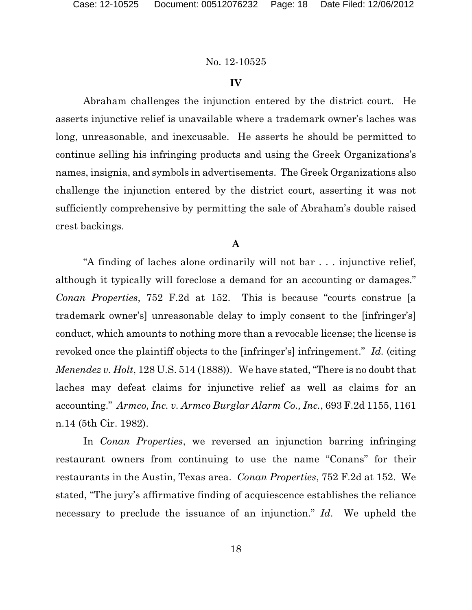### **IV**

Abraham challenges the injunction entered by the district court. He asserts injunctive relief is unavailable where a trademark owner's laches was long, unreasonable, and inexcusable. He asserts he should be permitted to continue selling his infringing products and using the Greek Organizations's names, insignia, and symbols in advertisements. The Greek Organizations also challenge the injunction entered by the district court, asserting it was not sufficiently comprehensive by permitting the sale of Abraham's double raised crest backings.

# **A**

"A finding of laches alone ordinarily will not bar . . . injunctive relief, although it typically will foreclose a demand for an accounting or damages." *Conan Properties*, 752 F.2d at 152. This is because "courts construe [a trademark owner's] unreasonable delay to imply consent to the [infringer's] conduct, which amounts to nothing more than a revocable license; the license is revoked once the plaintiff objects to the [infringer's] infringement." *Id.* (citing *Menendez v. Holt*, 128 U.S. 514 (1888)). We have stated, "There is no doubt that laches may defeat claims for injunctive relief as well as claims for an accounting." *Armco, Inc. v. Armco Burglar Alarm Co., Inc.*, 693 F.2d 1155, 1161 n.14 (5th Cir. 1982).

In *Conan Properties*, we reversed an injunction barring infringing restaurant owners from continuing to use the name "Conans" for their restaurants in the Austin, Texas area. *Conan Properties*, 752 F.2d at 152. We stated, "The jury's affirmative finding of acquiescence establishes the reliance necessary to preclude the issuance of an injunction." *Id*. We upheld the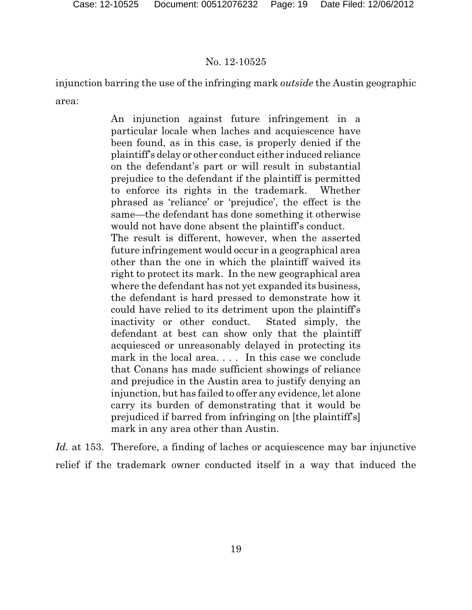injunction barring the use of the infringing mark *outside* the Austin geographic area:

> An injunction against future infringement in a particular locale when laches and acquiescence have been found, as in this case, is properly denied if the plaintiff's delay or other conduct either induced reliance on the defendant's part or will result in substantial prejudice to the defendant if the plaintiff is permitted to enforce its rights in the trademark. Whether phrased as 'reliance' or 'prejudice', the effect is the same—the defendant has done something it otherwise would not have done absent the plaintiff's conduct. The result is different, however, when the asserted future infringement would occur in a geographical area other than the one in which the plaintiff waived its right to protect its mark. In the new geographical area where the defendant has not yet expanded its business, the defendant is hard pressed to demonstrate how it could have relied to its detriment upon the plaintiff's inactivity or other conduct. Stated simply, the defendant at best can show only that the plaintiff acquiesced or unreasonably delayed in protecting its mark in the local area.... In this case we conclude that Conans has made sufficient showings of reliance and prejudice in the Austin area to justify denying an injunction, but has failed to offer any evidence, let alone carry its burden of demonstrating that it would be

prejudiced if barred from infringing on [the plaintiff's] mark in any area other than Austin.

*Id.* at 153. Therefore, a finding of laches or acquiescence may bar injunctive relief if the trademark owner conducted itself in a way that induced the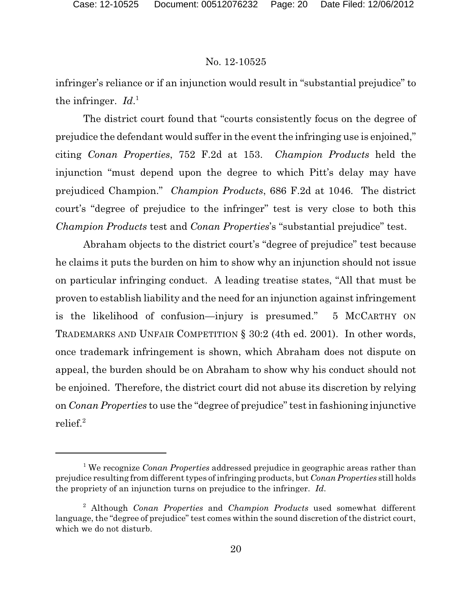infringer's reliance or if an injunction would result in "substantial prejudice" to the infringer. *Id*. 1

The district court found that "courts consistently focus on the degree of prejudice the defendant would suffer in the event the infringing use is enjoined," citing *Conan Properties*, 752 F.2d at 153. *Champion Products* held the injunction "must depend upon the degree to which Pitt's delay may have prejudiced Champion." *Champion Products*, 686 F.2d at 1046. The district court's "degree of prejudice to the infringer" test is very close to both this *Champion Products* test and *Conan Properties*'s "substantial prejudice" test.

Abraham objects to the district court's "degree of prejudice" test because he claims it puts the burden on him to show why an injunction should not issue on particular infringing conduct. A leading treatise states, "All that must be proven to establish liability and the need for an injunction against infringement is the likelihood of confusion—injury is presumed." 5 MCCARTHY ON TRADEMARKS AND UNFAIR COMPETITION § 30:2 (4th ed. 2001). In other words, once trademark infringement is shown, which Abraham does not dispute on appeal, the burden should be on Abraham to show why his conduct should not be enjoined. Therefore, the district court did not abuse its discretion by relying on *Conan Properties* to use the "degree of prejudice" test in fashioning injunctive relief. $2$ 

We recognize *Conan Properties* addressed prejudice in geographic areas rather than <sup>1</sup> prejudice resulting from different types of infringing products, but *Conan Properties* still holds the propriety of an injunction turns on prejudice to the infringer. *Id*.

Although *Conan Properties* and *Champion Products* used somewhat different 2 language, the "degree of prejudice" test comes within the sound discretion of the district court, which we do not disturb.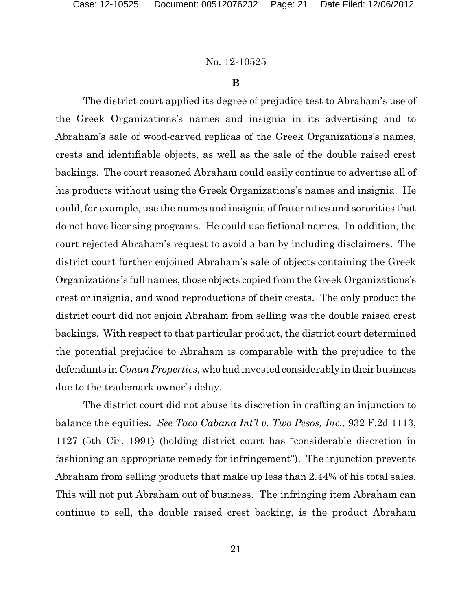#### **B**

The district court applied its degree of prejudice test to Abraham's use of the Greek Organizations's names and insignia in its advertising and to Abraham's sale of wood-carved replicas of the Greek Organizations's names, crests and identifiable objects, as well as the sale of the double raised crest backings. The court reasoned Abraham could easily continue to advertise all of his products without using the Greek Organizations's names and insignia. He could, for example, use the names and insignia of fraternities and sororities that do not have licensing programs. He could use fictional names. In addition, the court rejected Abraham's request to avoid a ban by including disclaimers. The district court further enjoined Abraham's sale of objects containing the Greek Organizations's full names, those objects copied from the Greek Organizations's crest or insignia, and wood reproductions of their crests. The only product the district court did not enjoin Abraham from selling was the double raised crest backings. With respect to that particular product, the district court determined the potential prejudice to Abraham is comparable with the prejudice to the defendants in *Conan Properties*, who had invested considerably in their business due to the trademark owner's delay.

The district court did not abuse its discretion in crafting an injunction to balance the equities. *See Taco Cabana Int'l v. Two Pesos, Inc.*, 932 F.2d 1113, 1127 (5th Cir. 1991) (holding district court has "considerable discretion in fashioning an appropriate remedy for infringement"). The injunction prevents Abraham from selling products that make up less than 2.44% of his total sales. This will not put Abraham out of business. The infringing item Abraham can continue to sell, the double raised crest backing, is the product Abraham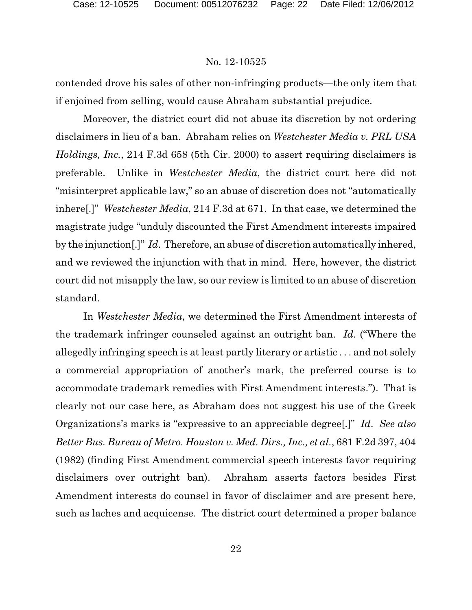contended drove his sales of other non-infringing products—the only item that if enjoined from selling, would cause Abraham substantial prejudice.

Moreover, the district court did not abuse its discretion by not ordering disclaimers in lieu of a ban. Abraham relies on *Westchester Media v. PRL USA Holdings, Inc.*, 214 F.3d 658 (5th Cir. 2000) to assert requiring disclaimers is preferable. Unlike in *Westchester Media*, the district court here did not "misinterpret applicable law," so an abuse of discretion does not "automatically inhere[.]" *Westchester Media*, 214 F.3d at 671. In that case, we determined the magistrate judge "unduly discounted the First Amendment interests impaired by the injunction[.]" *Id*. Therefore, an abuse of discretion automatically inhered, and we reviewed the injunction with that in mind. Here, however, the district court did not misapply the law, so our review is limited to an abuse of discretion standard.

In *Westchester Media*, we determined the First Amendment interests of the trademark infringer counseled against an outright ban. *Id*. ("Where the allegedly infringing speech is at least partly literary or artistic . . . and not solely a commercial appropriation of another's mark, the preferred course is to accommodate trademark remedies with First Amendment interests."). That is clearly not our case here, as Abraham does not suggest his use of the Greek Organizations's marks is "expressive to an appreciable degree[.]" *Id*. *See also Better Bus. Bureau of Metro. Houston v. Med. Dirs., Inc., et al.*, 681 F.2d 397, 404 (1982) (finding First Amendment commercial speech interests favor requiring disclaimers over outright ban). Abraham asserts factors besides First Amendment interests do counsel in favor of disclaimer and are present here, such as laches and acquicense. The district court determined a proper balance